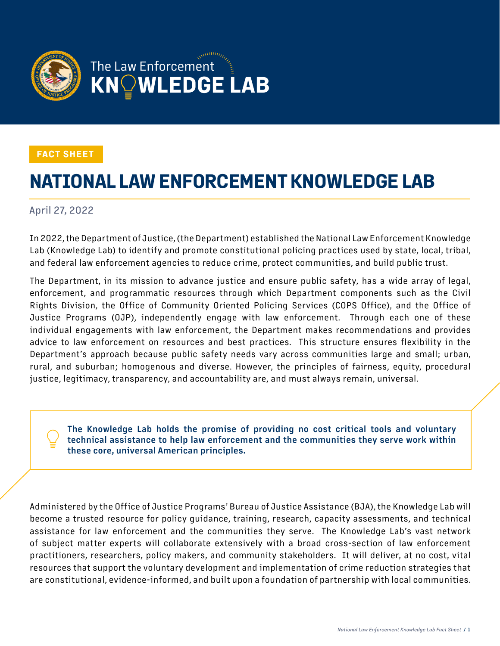

#### **FACT SHEET**

# **NATIONAL LAW ENFORCEMENT KNOWLEDGE LAB**

#### April 27, 2022

In 2022, the Department of Justice, (the Department) established the National Law Enforcement Knowledge Lab (Knowledge Lab) to identify and promote constitutional policing practices used by state, local, tribal, and federal law enforcement agencies to reduce crime, protect communities, and build public trust.

The Department, in its mission to advance justice and ensure public safety, has a wide array of legal, enforcement, and programmatic resources through which Department components such as the Civil Rights Division, the Office of Community Oriented Policing Services (COPS Office), and the Office of Justice Programs (OJP), independently engage with law enforcement. Through each one of these individual engagements with law enforcement, the Department makes recommendations and provides advice to law enforcement on resources and best practices. This structure ensures flexibility in the Department's approach because public safety needs vary across communities large and small; urban, rural, and suburban; homogenous and diverse. However, the principles of fairness, equity, procedural justice, legitimacy, transparency, and accountability are, and must always remain, universal.

**• The Knowledge Lab holds the promise of providing no cost critical tools and voluntary technical assistance to help law enforcement and the communities they serve work within these core, universal American principles.**

Administered by the Office of Justice Programs' Bureau of Justice Assistance (BJA), the Knowledge Lab will become a trusted resource for policy guidance, training, research, capacity assessments, and technical assistance for law enforcement and the communities they serve. The Knowledge Lab's vast network of subject matter experts will collaborate extensively with a broad cross-section of law enforcement practitioners, researchers, policy makers, and community stakeholders. It will deliver, at no cost, vital resources that support the voluntary development and implementation of crime reduction strategies that are constitutional, evidence-informed, and built upon a foundation of partnership with local communities.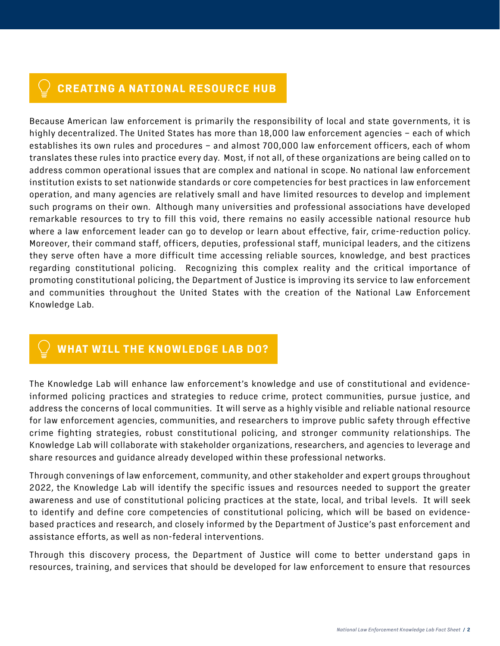### **CREATING A NATIONAL RESOURCE HUB**

Because American law enforcement is primarily the responsibility of local and state governments, it is highly decentralized. The United States has more than 18,000 law enforcement agencies – each of which establishes its own rules and procedures – and almost 700,000 law enforcement officers, each of whom translates these rules into practice every day. Most, if not all, of these organizations are being called on to address common operational issues that are complex and national in scope. No national law enforcement institution exists to set nationwide standards or core competencies for best practices in law enforcement operation, and many agencies are relatively small and have limited resources to develop and implement such programs on their own. Although many universities and professional associations have developed remarkable resources to try to fill this void, there remains no easily accessible national resource hub where a law enforcement leader can go to develop or learn about effective, fair, crime-reduction policy. Moreover, their command staff, officers, deputies, professional staff, municipal leaders, and the citizens they serve often have a more difficult time accessing reliable sources, knowledge, and best practices regarding constitutional policing. Recognizing this complex reality and the critical importance of promoting constitutional policing, the Department of Justice is improving its service to law enforcement and communities throughout the United States with the creation of the National Law Enforcement Knowledge Lab.

## **WHAT WILL THE KNOWLEDGE LAB DO?**

The Knowledge Lab will enhance law enforcement's knowledge and use of constitutional and evidenceinformed policing practices and strategies to reduce crime, protect communities, pursue justice, and address the concerns of local communities. It will serve as a highly visible and reliable national resource for law enforcement agencies, communities, and researchers to improve public safety through effective crime fighting strategies, robust constitutional policing, and stronger community relationships. The Knowledge Lab will collaborate with stakeholder organizations, researchers, and agencies to leverage and share resources and guidance already developed within these professional networks.

Through convenings of law enforcement, community, and other stakeholder and expert groups throughout 2022, the Knowledge Lab will identify the specific issues and resources needed to support the greater awareness and use of constitutional policing practices at the state, local, and tribal levels. It will seek to identify and define core competencies of constitutional policing, which will be based on evidencebased practices and research, and closely informed by the Department of Justice's past enforcement and assistance efforts, as well as non-federal interventions.

Through this discovery process, the Department of Justice will come to better understand gaps in resources, training, and services that should be developed for law enforcement to ensure that resources